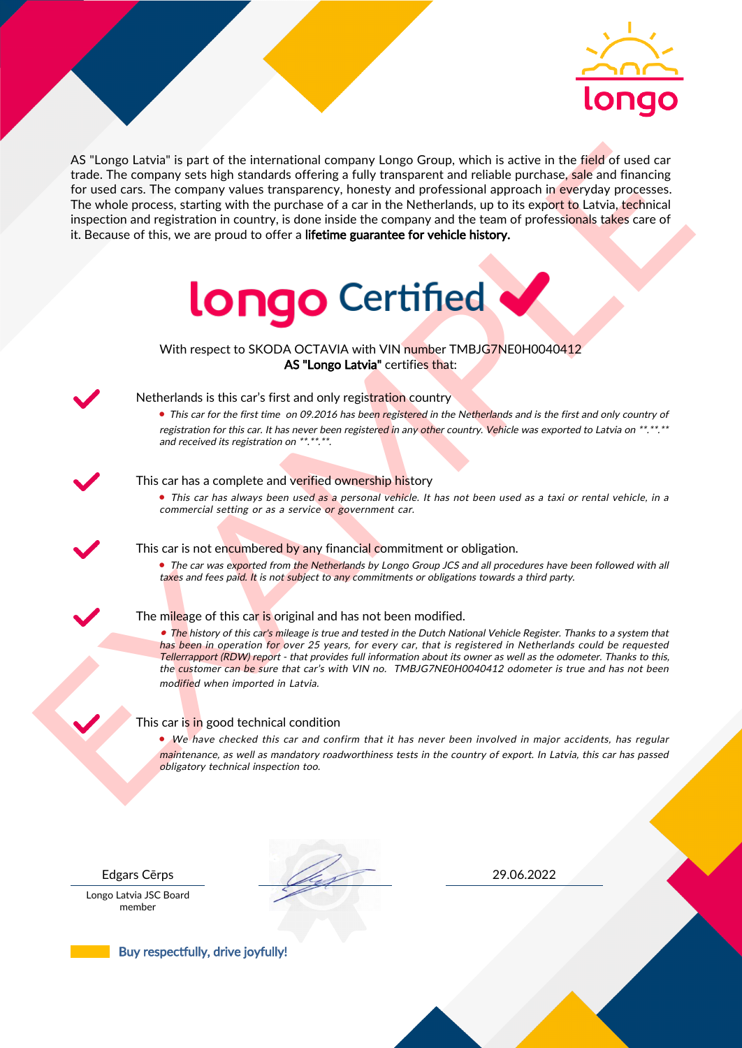

As the space take is part of the intermediate company longs Group which is active in the field of used car<br>for the field of space of a car in the Netherlands, up to be compatible in the space of a car in the Netherlands, AS "Longo Latvia" is part of the international company Longo Group, which is active in the field of used car trade. The company sets high standards offering a fully transparent and reliable purchase, sale and financing for used cars. The company values transparency, honesty and professional approach in everyday processes. The whole process, starting with the purchase of a car in the Netherlands, up to its export to Latvia, technical inspection and registration in country, is done inside the company and the team of professionals takes care of it. Because of this, we are proud to offer a lifetime guarantee for vehicle history.



With respect to SKODA OCTAVIA with VIN number TMBJG7NE0H0040412 AS "Longo Latvia" certifies that:



## Netherlands is this car's first and only registration country

• This car for the first time on 09.2016 has been registered in the Netherlands and is the first and only country of registration for this car. It has never been registered in any other country. Vehicle was exported to Latvia on \*\*.\*\*.\*\* and received its registration on \*\*.\*\*.\*\*.

### This car has a complete and verified ownership history

• This car has always been used as a personal vehicle. It has not been used as a taxi or rental vehicle, in a commercial setting or as a service or government car.

This car is not encumbered by any financial commitment or obligation.

• The car was exported from the Netherlands by Longo Group JCS and all procedures have been followed with all taxes and fees paid. It is not subject to any commitments or obligations towards a third party.

### The mileage of this car is original and has not been modified.

• The history of this car's mileage is true and tested in the Dutch National Vehicle Register. Thanks to a system that has been in operation for over 25 years, for every car, that is registered in Netherlands could be requested Tellerrapport (RDW) report - that provides full information about its owner as well as the odometer. Thanks to this, the customer can be sure that car's with VIN no. TMBJG7NE0H0040412 odometer is true and has not been modified when imported in Latvia.

### This car is in good technical condition

• We have checked this car and confirm that it has never been involved in major accidents, has regular maintenance, as well as mandatory roadworthiness tests in the country of export. In Latvia, this car has passed obligatory technical inspection too.

Longo Latvia JSC Board member

Edgars Cērps 29.06.2022

Buy respectfully, drive joyfully!